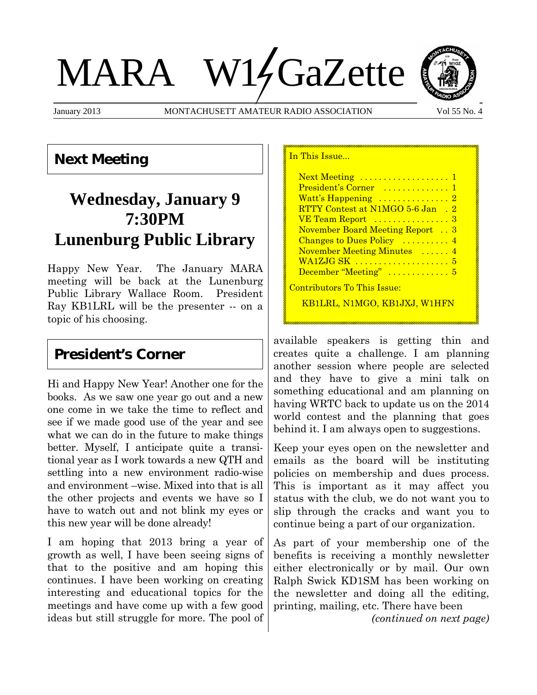# MARA W14GaZette

January 2013 MONTACHUSETT AMATEUR RADIO ASSOCIATION Vol 55 No. 4

In This Issue...



**Next Meeting**

# **Wednesday, January 9 7:30PM Lunenburg Public Library**

Happy New Year. The January MARA meeting will be back at the Lunenburg Public Library Wallace Room. President Ray KB1LRL will be the presenter -- on a topic of his choosing.

## **President's Corner**

Hi and Happy New Year! Another one for the books. As we saw one year go out and a new one come in we take the time to reflect and see if we made good use of the year and see what we can do in the future to make things better. Myself, I anticipate quite a transitional year as I work towards a new QTH and settling into a new environment radio-wise and environment –wise. Mixed into that is all the other projects and events we have so I have to watch out and not blink my eyes or this new year will be done already!

I am hoping that 2013 bring a year of growth as well, I have been seeing signs of that to the positive and am hoping this continues. I have been working on creating interesting and educational topics for the meetings and have come up with a few good ideas but still struggle for more. The pool of

| $Next Meeting \dots \dots \dots \dots \dots \dots \dots$ |  |
|----------------------------------------------------------|--|
| President's Corner  1                                    |  |
|                                                          |  |
| RTTY Contest at N1MGO 5-6 Jan. 2                         |  |
| VE Team Report  3                                        |  |
| <b>November Board Meeting Report</b> 3                   |  |
| Changes to Dues Policy  4                                |  |
| November Meeting Minutes  4                              |  |
| WA1ZJG SK  5                                             |  |
| December "Meeting"  5                                    |  |
| <u> Contributors To This Issue:</u>                      |  |
| KB1LRL. N1MGO. KB1JXJ. W1                                |  |

available speakers is getting thin and creates quite a challenge. I am planning another session where people are selected and they have to give a mini talk on something educational and am planning on having WRTC back to update us on the 2014 world contest and the planning that goes behind it. I am always open to suggestions.

Keep your eyes open on the newsletter and emails as the board will be instituting policies on membership and dues process. This is important as it may affect you status with the club, we do not want you to slip through the cracks and want you to continue being a part of our organization.

As part of your membership one of the benefits is receiving a monthly newsletter either electronically or by mail. Our own Ralph Swick KD1SM has been working on the newsletter and doing all the editing, printing, mailing, etc. There have been

*(continued on next page)*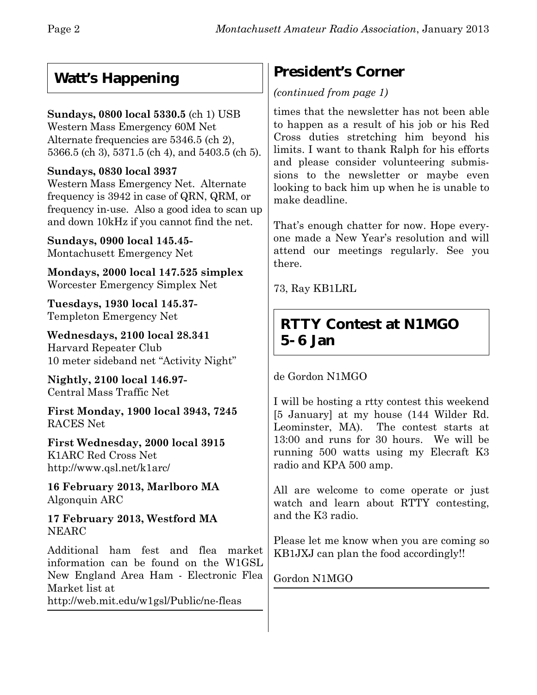## **Watt's Happening**

## **Sundays, 0800 local 5330.5** (ch 1) USB

Western Mass Emergency 60M Net Alternate frequencies are 5346.5 (ch 2), 5366.5 (ch 3), 5371.5 (ch 4), and 5403.5 (ch 5).

## **Sundays, 0830 local 3937**

Western Mass Emergency Net. Alternate frequency is 3942 in case of QRN, QRM, or frequency in-use. Also a good idea to scan up and down 10kHz if you cannot find the net.

**Sundays, 0900 local 145.45-** Montachusett Emergency Net

**Mondays, 2000 local 147.525 simplex** Worcester Emergency Simplex Net

**Tuesdays, 1930 local 145.37-** Templeton Emergency Net

**Wednesdays, 2100 local 28.341** Harvard Repeater Club 10 meter sideband net "Activity Night"

**Nightly, 2100 local 146.97-** Central Mass Traffic Net

**First Monday, 1900 local 3943, 7245** RACES Net

**First Wednesday, 2000 local 3915** K1ARC Red Cross Net http://www.qsl.net/k1arc/

**16 February 2013, Marlboro MA** Algonquin ARC

**17 February 2013, Westford MA** NEARC

Additional ham fest and flea market information can be found on the W1GSL New England Area Ham - Electronic Flea Market list at http://web.mit.edu/w1gsl/Public/ne-fleas

## **President's Corner**

## *(continued from page 1)*

times that the newsletter has not been able to happen as a result of his job or his Red Cross duties stretching him beyond his limits. I want to thank Ralph for his efforts and please consider volunteering submissions to the newsletter or maybe even looking to back him up when he is unable to make deadline.

That's enough chatter for now. Hope everyone made a New Year's resolution and will attend our meetings regularly. See you there.

73, Ray KB1LRL

## **RTTY Contest at N1MGO 5-6 Jan**

de Gordon N1MGO

I will be hosting a rtty contest this weekend [5 January] at my house (144 Wilder Rd. Leominster, MA). The contest starts at 13:00 and runs for 30 hours. We will be running 500 watts using my Elecraft K3 radio and KPA 500 amp.

All are welcome to come operate or just watch and learn about RTTY contesting, and the K3 radio.

Please let me know when you are coming so KB1JXJ can plan the food accordingly!!

Gordon N1MGO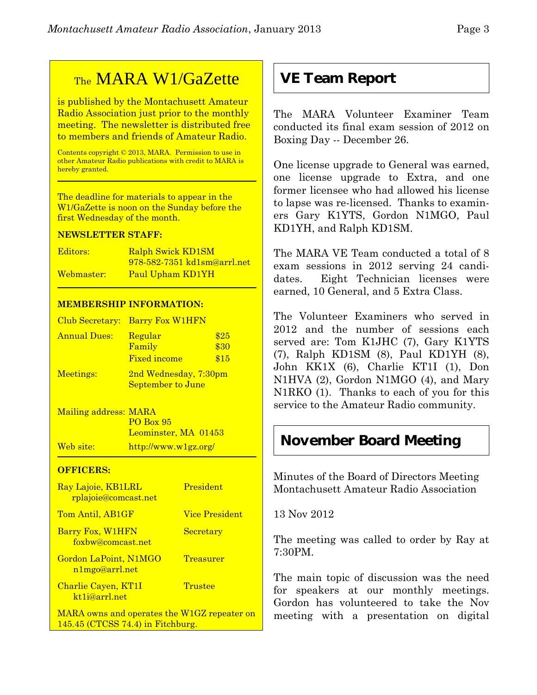## TheMARA W1/GaZette

is published by the Montachusett Amateur Radio Association just prior to the monthly meeting. The newsletter is distributed free to members and friends of Amateur Radio.

Contents copyright © 2013, MARA. Permission to use in other Amateur Radio publications with credit to MARA is hereby granted.

The deadline for materials to appear in the W1/GaZette is noon on the Sunday before the first Wednesday of the month.

#### **NEWSLETTER STAFF:**

| Editors:   | <b>Ralph Swick KD1SM</b>    |
|------------|-----------------------------|
|            | 978-582-7351 kd1sm@arrl.net |
| Webmaster: | Paul Upham KD1YH            |

#### **MEMBERSHIP INFORMATION:**

|                     | Club Secretary: Barry Fox W1HFN            |                      |
|---------------------|--------------------------------------------|----------------------|
| <b>Annual Dues:</b> | Regular<br>Family<br><b>Fixed income</b>   | \$25<br>\$30<br>\$15 |
| Meetings:           | 2nd Wednesday, 7:30pm<br>September to June |                      |

Mailing address: MARA PO Box 95 Leominster, MA 01453 Web site: http://www.w1gz.org/

#### **OFFICERS:**

| Ray Lajoie, KB1LRL<br>rplajoie@comcast.net        | President             |
|---------------------------------------------------|-----------------------|
| Tom Antil, AB1GF                                  | <b>Vice President</b> |
| Barry Fox, W1HFN<br>foxbw@comcast.net             | Secretary             |
| Gordon LaPoint, N1MGO<br>n1mgo@arrl.net           | Treasurer             |
| Charlie Cayen, KT1I<br>kt <sub>1</sub> i@arrl.net | Trustee               |
| MARA owns and operates the W1GZ repeater on       |                       |

145.45 (CTCSS 74.4) in Fitchburg.

## **VE Team Report**

The MARA Volunteer Examiner Team conducted its final exam session of 2012 on Boxing Day -- December 26.

One license upgrade to General was earned, one license upgrade to Extra, and one former licensee who had allowed his license to lapse was re-licensed. Thanks to examiners Gary K1YTS, Gordon N1MGO, Paul KD1YH, and Ralph KD1SM.

The MARA VE Team conducted a total of 8 exam sessions in 2012 serving 24 candidates. Eight Technician licenses were earned, 10 General, and 5 Extra Class.

The Volunteer Examiners who served in 2012 and the number of sessions each served are: Tom K1JHC (7), Gary K1YTS (7), Ralph KD1SM (8), Paul KD1YH (8), John KK1X (6), Charlie KT1I (1), Don N1HVA (2), Gordon N1MGO (4), and Mary N1RKO (1). Thanks to each of you for this service to the Amateur Radio community.

## **November Board Meeting**

Minutes of the Board of Directors Meeting Montachusett Amateur Radio Association

13 Nov 2012

The meeting was called to order by Ray at 7:30PM.

The main topic of discussion was the need for speakers at our monthly meetings. Gordon has volunteered to take the Nov meeting with a presentation on digital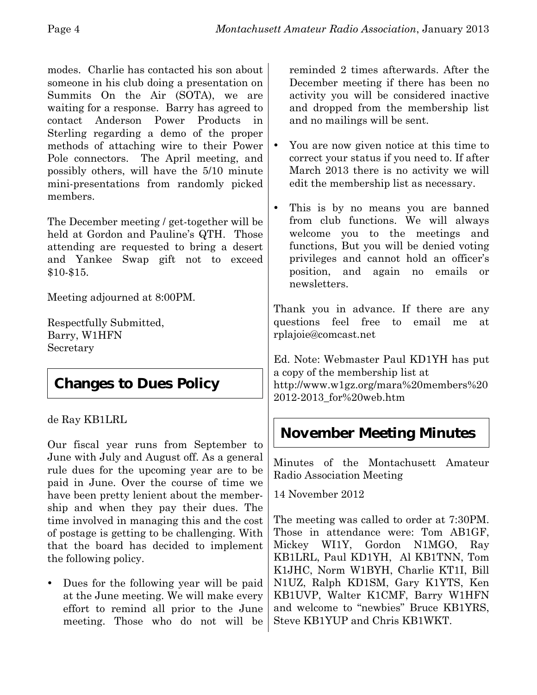modes. Charlie has contacted his son about someone in his club doing a presentation on Summits On the Air (SOTA), we are waiting for a response. Barry has agreed to contact Anderson Power Products in Sterling regarding a demo of the proper methods of attaching wire to their Power Pole connectors. The April meeting, and possibly others, will have the 5/10 minute mini-presentations from randomly picked members.

The December meeting / get-together will be held at Gordon and Pauline's QTH. Those attending are requested to bring a desert and Yankee Swap gift not to exceed \$10-\$15.

Meeting adjourned at 8:00PM.

Respectfully Submitted, Barry, W1HFN Secretary

## **Changes to Dues Policy**

de Ray KB1LRL

Our fiscal year runs from September to June with July and August off. As a general rule dues for the upcoming year are to be paid in June. Over the course of time we have been pretty lenient about the membership and when they pay their dues. The time involved in managing this and the cost of postage is getting to be challenging. With that the board has decided to implement the following policy.

 Dues for the following year will be paid at the June meeting. We will make every effort to remind all prior to the June meeting. Those who do not will be reminded 2 times afterwards. After the December meeting if there has been no activity you will be considered inactive and dropped from the membership list and no mailings will be sent.

- You are now given notice at this time to correct your status if you need to. If after March 2013 there is no activity we will edit the membership list as necessary.
- This is by no means you are banned from club functions. We will always welcome you to the meetings and functions, But you will be denied voting privileges and cannot hold an officer's position, and again no emails or newsletters.

Thank you in advance. If there are any questions feel free to email me at rplajoie@comcast.net

Ed. Note: Webmaster Paul KD1YH has put a copy of the membership list at http://www.w1gz.org/mara%20members%20 2012-2013\_for%20web.htm

# **November Meeting Minutes**

Minutes of the Montachusett Amateur Radio Association Meeting

14 November 2012

The meeting was called to order at 7:30PM. Those in attendance were: Tom AB1GF, Mickey WI1Y, Gordon N1MGO, Ray KB1LRL, Paul KD1YH, Al KB1TNN, Tom K1JHC, Norm W1BYH, Charlie KT1I, Bill N1UZ, Ralph KD1SM, Gary K1YTS, Ken KB1UVP, Walter K1CMF, Barry W1HFN and welcome to "newbies" Bruce KB1YRS, Steve KB1YUP and Chris KB1WKT.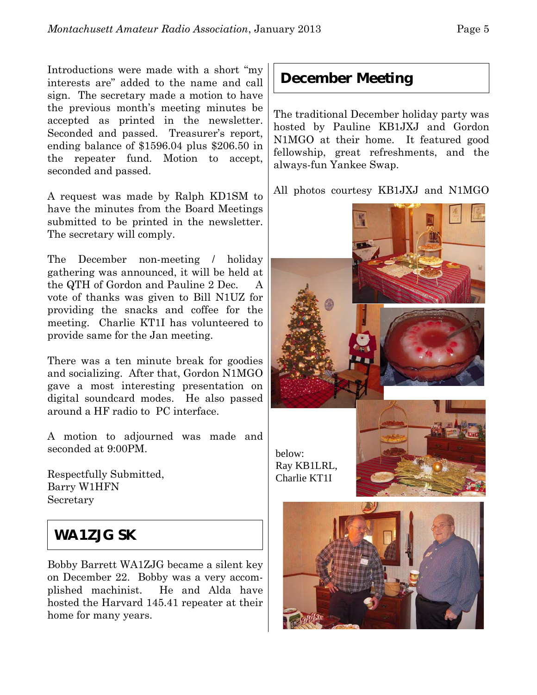Introductions were made with a short "my interests are" added to the name and call sign. The secretary made a motion to have the previous month's meeting minutes be accepted as printed in the newsletter. Seconded and passed. Treasurer's report, ending balance of \$1596.04 plus \$206.50 in the repeater fund. Motion to accept, seconded and passed.

A request was made by Ralph KD1SM to have the minutes from the Board Meetings submitted to be printed in the newsletter. The secretary will comply.

The December non-meeting / holiday gathering was announced, it will be held at the QTH of Gordon and Pauline 2 Dec. A vote of thanks was given to Bill N1UZ for providing the snacks and coffee for the meeting. Charlie KT1I has volunteered to provide same for the Jan meeting.

There was a ten minute break for goodies and socializing. After that, Gordon N1MGO gave a most interesting presentation on digital soundcard modes. He also passed around a HF radio to PC interface.

A motion to adjourned was made and seconded at 9:00PM.

Respectfully Submitted, Barry W1HFN Secretary

## **WA1ZJG SK**

Bobby Barrett WA1ZJG became a silent key on December 22. Bobby was a very accomplished machinist. He and Alda have hosted the Harvard 145.41 repeater at their home for many years.

## **December Meeting**

The traditional December holiday party was hosted by Pauline KB1JXJ and Gordon N1MGO at their home. It featured good fellowship, great refreshments, and the always-fun Yankee Swap.

All photos courtesy KB1JXJ and N1MGO

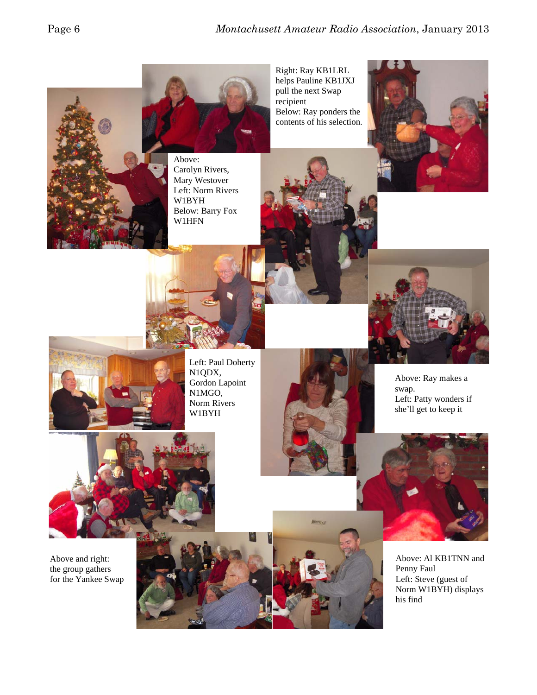

Right: Ray KB1LRL helps Pauline KB1JXJ pull the next Swap recipient Below: Ray ponders the contents of his selection.





Above: Carolyn Rivers, Mary Westover Left: Norm Rivers W1BYH Below: Barry Fox W1HFN







Left: Paul Doherty N1QDX, Gordon Lapoint N1MGO, Norm Rivers W1BYH



Above: Ray makes a swap. Left: Patty wonders if she'll get to keep it



Above and right: the group gathers for the Yankee Swap



Above: Al KB1TNN and Penny Faul Left: Steve (guest of Norm W1BYH) displays his find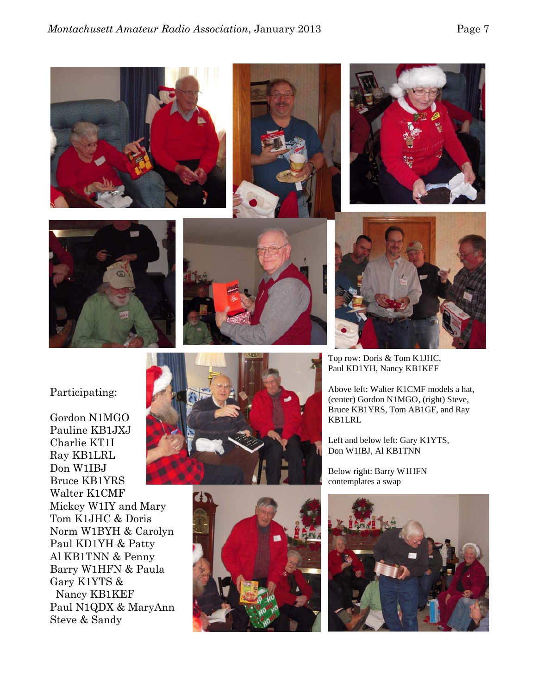









Top row: Doris & Tom K1JHC, Paul KD1YH, Nancy KB1KEF

Above left: Walter K1CMF models a hat, (center) Gordon N1MGO, (right) Steve, Bruce KB1YRS, Tom AB1GF, and Ray KB1LRL

Left and below left: Gary K1YTS, Don W1IBJ, Al KB1TNN

Below right: Barry W1HFN contemplates a swap



#### Participating:

Gordon N1MGO Pauline KB1JXJ Charlie KT1I Ray KB1LRL Don W1IBJ Bruce KB1YRS Walter K1CMF Mickey W1IY and Mary Tom K1JHC & Doris Norm W1BYH & Carolyn Paul KD1YH & Patty Al KB1TNN & Penny Barry W1HFN & Paula Gary K1YTS & Nancy KB1KEF Paul N1QDX & MaryAnn Steve & Sandy